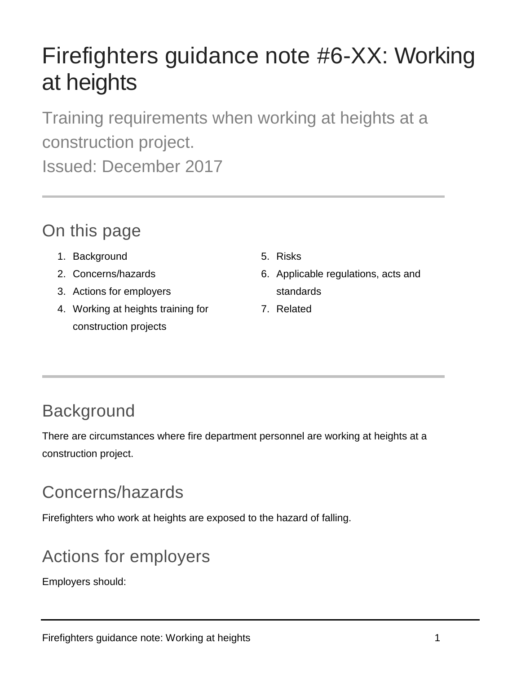# Firefighters guidance note #6-XX: Working at heights

Training requirements when working at heights at a construction project.

Issued: December 2017

## On this page

- 1. Background
- 2. Concerns/hazards
- 3. Actions for employers
- 4. Working at heights training for construction projects
- 5. Risks
- 6. Applicable regulations, acts and standards
- 7. Related

## **Background**

There are circumstances where fire department personnel are working at heights at a construction project.

# Concerns/hazards

Firefighters who work at heights are exposed to the hazard of falling.

# Actions for employers

Employers should: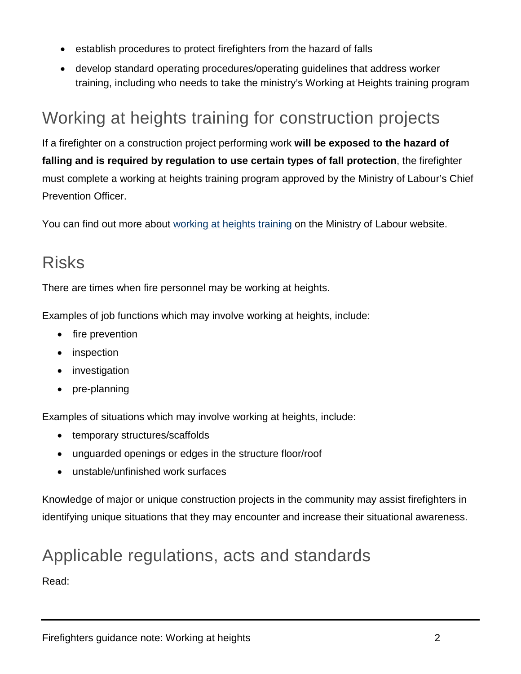- establish procedures to protect firefighters from the hazard of falls
- develop standard operating procedures/operating guidelines that address worker training, including who needs to take the ministry's Working at Heights training program

#### Working at heights training for construction projects

If a firefighter on a construction project performing work **will be exposed to the hazard of falling and is required by regulation to use certain types of fall protection**, the firefighter must complete a working at heights training program approved by the Ministry of Labour's Chief Prevention Officer.

You can find out more about [working at heights training](https://www.labour.gov.on.ca/english/hs/topics/heights.php) on the Ministry of Labour website.

#### Risks

There are times when fire personnel may be working at heights.

Examples of job functions which may involve working at heights, include:

- fire prevention
- *inspection*
- **investigation**
- pre-planning

Examples of situations which may involve working at heights, include:

- temporary structures/scaffolds
- unguarded openings or edges in the structure floor/roof
- unstable/unfinished work surfaces

Knowledge of major or unique construction projects in the community may assist firefighters in identifying unique situations that they may encounter and increase their situational awareness.

#### Applicable regulations, acts and standards

Read: